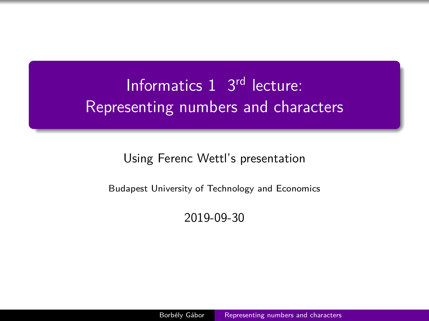# <span id="page-0-0"></span>Informatics 1 3rd lecture: Representing numbers and characters

Using Ferenc Wettl's presentation

Budapest University of Technology and Economics

2019-09-30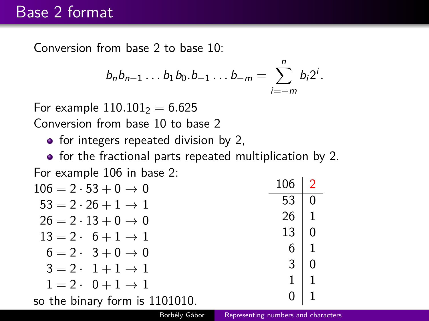### Base 2 format

Conversion from base 2 to base 10:

$$
b_n b_{n-1} \dots b_1 b_0 \dots b_{-1} \dots b_{-m} = \sum_{i=-m}^n b_i 2^i.
$$

For example  $110.101<sub>2</sub> = 6.625$ Conversion from base 10 to base 2

 $\bullet$  for integers repeated division by 2,

• for the fractional parts repeated multiplication by 2.

| For example 106 in base 2: |  |  |  |  |  |
|----------------------------|--|--|--|--|--|
|----------------------------|--|--|--|--|--|

| $106 = 2 \cdot 53 + 0 \to 0$        | 106         | $\sqrt{2}$     |
|-------------------------------------|-------------|----------------|
| $53 = 2 \cdot 26 + 1 \rightarrow 1$ | 53.         | $\overline{0}$ |
| $26 = 2 \cdot 13 + 0 \rightarrow 0$ | $26 \mid 1$ |                |
| $13 = 2 \cdot 6 + 1 \rightarrow 1$  | $13 \mid 0$ |                |
| $6 = 2 \cdot 3 + 0 \rightarrow 0$   | $6 \mid 1$  |                |
| $3 = 2 \cdot 1 + 1 \rightarrow 1$   | 3           | $\overline{0}$ |
| $1 = 2 \cdot 0 + 1 \rightarrow 1$   | $1 \mid 1$  |                |
| so the binary form is 1101010.      | 0.          | $\vert$ 1      |
|                                     |             |                |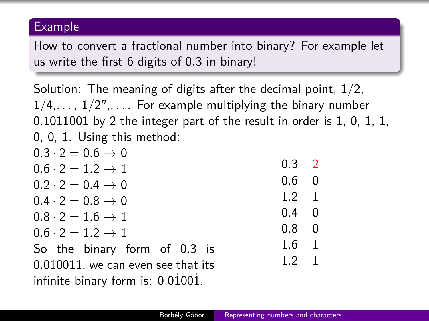#### Example

How to convert a fractional number into binary? For example let us write the first 6 digits of 0*.*3 in binary!

Solution: The meaning of digits after the decimal point, 1*/*2,  $1/4, \ldots, 1/2^n, \ldots$  For example multiplying the binary number 0*.*1011001 by 2 the integer part of the result in order is 1, 0, 1, 1, 0, 0, 1. Using this method:

| $0.3 \cdot 2 = 0.6 \rightarrow 0$  |                 |  |
|------------------------------------|-----------------|--|
| $0.6 \cdot 2 = 1.2 \rightarrow 1$  | $0.3 \mid 2$    |  |
| $0.2 \cdot 2 = 0.4 \rightarrow 0$  | 0.6   0         |  |
| $0.4 \cdot 2 = 0.8 \rightarrow 0$  | $1.2$   1       |  |
| $0.8 \cdot 2 = 1.6 \rightarrow 1$  | $0.4 \,   \, 0$ |  |
| $0.6 \cdot 2 = 1.2 \rightarrow 1$  | $0.8$ 0         |  |
| So the binary form of 0.3 is       | $1.6 \mid 1$    |  |
| 0.010011, we can even see that its | $1.2$   1       |  |
| infinite binary form is: 0.01001.  |                 |  |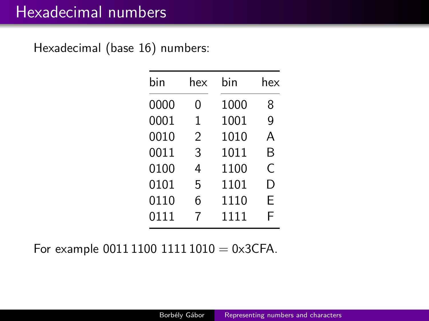## Hexadecimal numbers

Hexadecimal (base 16) numbers:

| bin  | hex | bin  | hex |
|------|-----|------|-----|
| 0000 | N   | 1000 | 8   |
| 0001 | 1   | 1001 | 9   |
| 0010 | 2   | 1010 | А   |
| 0011 | 3   | 1011 | B   |
| 0100 | 4   | 1100 | C   |
| 0101 | 5   | 1101 | D   |
| 0110 | 6   | 1110 | Е   |
| 0111 | 7   | 1111 | F   |

For example 0011 1100 1111 1010 = 0x3CFA.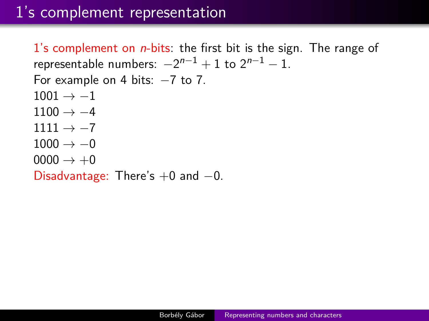### 1's complement representation

1's complement on  $n$ -bits: the first bit is the sign. The range of representable numbers:  $-2^{n-1}+1$  to  $2^{n-1}-1$ . For example on 4 bits:  $-7$  to 7.  $1001 \rightarrow -1$  $1100 \rightarrow -4$  $1111 \rightarrow -7$  $1000 \rightarrow -0$  $0000 \rightarrow +0$ 

Disadvantage: There's  $+0$  and  $-0$ .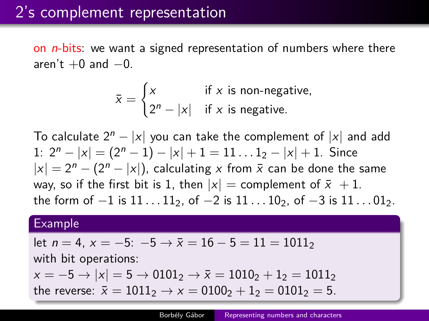on  $n$ -bits: we want a signed representation of numbers where there aren't  $+0$  and  $-0$ .

$$
\bar{x} = \begin{cases} x & \text{if } x \text{ is non-negative,} \\ 2^n - |x| & \text{if } x \text{ is negative.} \end{cases}
$$

To calculate  $2^{n} - |x|$  you can take the complement of  $|x|$  and add 1:  $2^{n} - |x| = (2^{n} - 1) - |x| + 1 = 11 ... 1_{2} - |x| + 1$ . Since  $|x| = 2^n - (2^n - |x|)$ , calculating x from  $\bar{x}$  can be done the same way, so if the first bit is 1, then  $|x|$  = complement of  $\bar{x}$  + 1. the form of −1 is 11 . . . 11<sub>2</sub>, of −2 is 11 . . . 10<sub>2</sub>, of −3 is 11 . . . 01<sub>2</sub>.

#### Example

let 
$$
n = 4
$$
,  $x = -5$ :  $-5 \rightarrow \bar{x} = 16 - 5 = 11 = 1011_2$ 

with bit operations:

 $x = -5 \rightarrow |x| = 5 \rightarrow 0101$ <sub>2</sub>  $\rightarrow \bar{x} = 1010$ <sub>2</sub>  $+ 1$ <sub>2</sub> = 1011<sub>2</sub>

the reverse:  $\bar{x} = 1011_2 \rightarrow x = 0100_2 + 1_2 = 0101_2 = 5$ .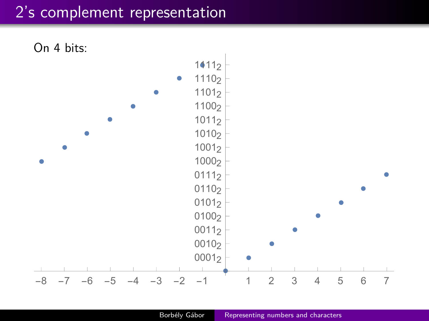### 2's complement representation

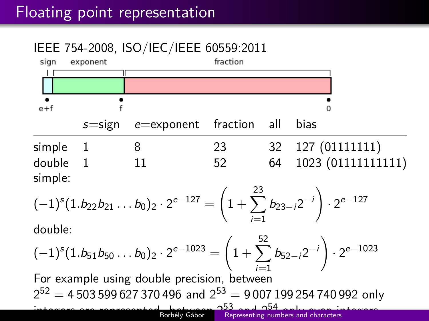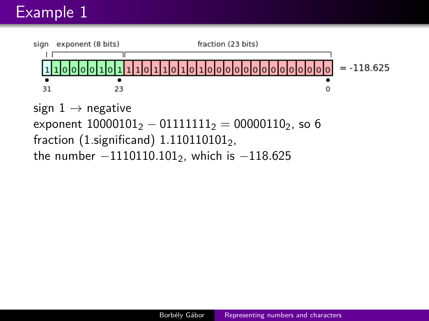## Example 1



```
exponent 10000101<sub>2</sub> - 01111111<sub>2</sub> = 00000110<sub>2</sub>, so 6
fraction (1.significand) 1.1101101012,
the number −1110110.1012, which is −118.625
```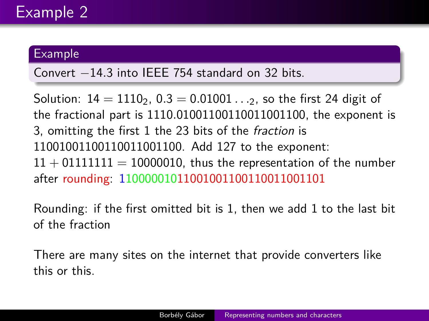#### Example

Convert −14*.*3 into IEEE 754 standard on 32 bits.

Solution:  $14 = 1110$ ,  $0.3 = 0.01001...$ , so the first 24 digit of the fractional part is 1110*.*01001100110011001100, the exponent is 3, omitting the first 1 the 23 bits of the fraction is 11001001100110011001100. Add 127 to the exponent:  $11 + 01111111 = 10000010$ , thus the representation of the number after rounding: 11000001011001001100110011001101

Rounding: if the first omitted bit is 1, then we add 1 to the last bit of the fraction

There are many sites on the internet that provide converters like [this](http://www.h-schmidt.net/FloatConverter/IEEE754.html) or [this.](http://www.binaryconvert.com/)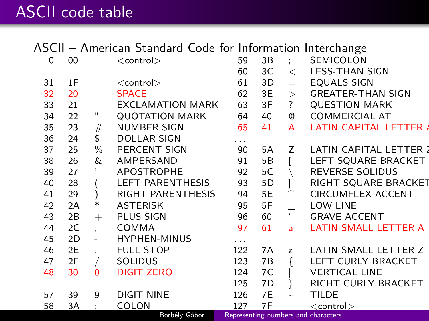## ASCII code table

ASCII – American Standard Code for Information Interchange

| 0  | 00 |        | $<$ control $>$          | 59     | 3Β |                       | SEMICOLON                           |
|----|----|--------|--------------------------|--------|----|-----------------------|-------------------------------------|
| .  |    |        |                          | 60     | 3C | $\,<\,$               | <b>LESS-THAN SIGN</b>               |
| 31 | 1F |        | $<$ control $>$          | 61     | 3D | $=$                   | <b>EQUALS SIGN</b>                  |
| 32 | 20 |        | <b>SPACE</b>             | 62     | 3E | $\geq$                | <b>GREATER-THAN SIGN</b>            |
| 33 | 21 | Ţ      | <b>EXCLAMATION MARK</b>  | 63     | 3F | ?                     | <b>QUESTION MARK</b>                |
| 34 | 22 | п      | <b>QUOTATION MARK</b>    | 64     | 40 | Q                     | <b>COMMERCIAL AT</b>                |
| 35 | 23 | #      | <b>NUMBER SIGN</b>       | 65     | 41 | A                     | <b>LATIN CAPITAL LETTER A</b>       |
| 36 | 24 | \$     | <b>DOLLAR SIGN</b>       | .      |    |                       |                                     |
| 37 | 25 | $\%$   | <b>PERCENT SIGN</b>      | 90     | 5A | Z                     | LATIN CAPITAL LETTER 2              |
| 38 | 26 | &      | AMPERSAND                | 91     | 5Β |                       | LEFT SQUARE BRACKET                 |
| 39 | 27 |        | <b>APOSTROPHE</b>        | 92     | 5C |                       | <b>REVERSE SOLIDUS</b>              |
| 40 | 28 |        | <b>LEFT PARENTHESIS</b>  | 93     | 5D |                       | RIGHT SQUARE BRACKET                |
| 41 | 29 |        | <b>RIGHT PARENTHESIS</b> | 94     | 5E |                       | CIRCUMFLEX ACCENT                   |
| 42 | 2A | $\ast$ | <b>ASTERISK</b>          | 95     | 5F |                       | <b>LOW LINE</b>                     |
| 43 | 2B | $^{+}$ | <b>PLUS SIGN</b>         | 96     | 60 | $\pmb{\iota}$         | <b>GRAVE ACCENT</b>                 |
| 44 | 2C |        | <b>COMMA</b>             | 97     | 61 | a                     | LATIN SMALL LETTER A                |
| 45 | 2D |        | <b>HYPHEN-MINUS</b>      | $\sim$ |    |                       |                                     |
| 46 | 2E |        | <b>FULL STOP</b>         | 122    | 7A | z                     | LATIN SMALL LETTER Z                |
| 47 | 2F |        | <b>SOLIDUS</b>           | 123    | 7B |                       | LEFT CURLY BRACKET                  |
| 48 | 30 | 0      | <b>DIGIT ZERO</b>        | 124    | 7C |                       | <b>VERTICAL LINE</b>                |
| .  |    |        |                          | 125    | 7D | ł                     | RIGHT CURLY BRACKET                 |
| 57 | 39 | 9      | <b>DIGIT NINE</b>        | 126    | 7E | $\tilde{\phantom{a}}$ | <b>TILDE</b>                        |
| 58 | 3A |        | <b>COLON</b>             | 127    | 7F |                       | $<$ control $>$                     |
|    |    |        | Borbély Gábor            |        |    |                       | Representing numbers and characters |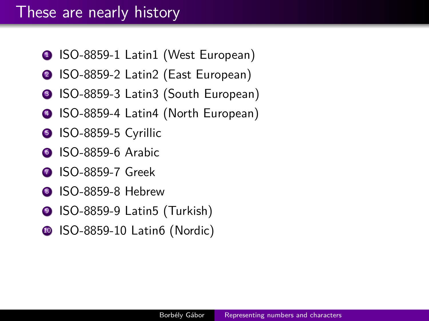### These are nearly history

- **1 ISO-8859-1 Latin1 (West European)**
- <sup>2</sup> ISO-8859-2 Latin2 (East European)
- **3 ISO-8859-3 Latin3 (South European)**
- <sup>4</sup> ISO-8859-4 Latin4 (North European)
- S ISO-8859-5 Cyrillic
- **6 ISO-8859-6 Arabic**
- **2 ISO-8859-7 Greek**
- **8 ISO-8859-8 Hebrew**
- <sup>9</sup> ISO-8859-9 Latin5 (Turkish)
- **10 ISO-8859-10 Latin6 (Nordic)**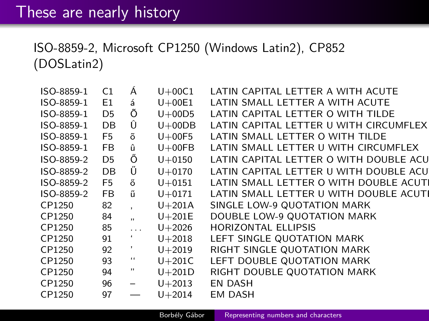ISO-8859-2, Microsoft CP1250 (Windows Latin2), CP852 (DOSLatin2)

| ISO-8859-1 | C1             | A                        | $U+00C1$   | LATIN CAPITAL LETTER A WITH ACUTE       |
|------------|----------------|--------------------------|------------|-----------------------------------------|
| ISO-8859-1 | E <sub>1</sub> | á                        | $U+00E1$   | LATIN SMALL LETTER A WITH ACUTE         |
| ISO-8859-1 | D <sub>5</sub> | Õ                        | $U+00D5$   | LATIN CAPITAL LETTER O WITH TILDE       |
| ISO-8859-1 | <b>DB</b>      | Û                        | $U+00DB$   | LATIN CAPITAL LETTER U WITH CIRCUMFLEX  |
| ISO-8859-1 | F5             | õ                        | $U+00F5$   | LATIN SMALL LETTER O WITH TILDE         |
| ISO-8859-1 | FB             | û                        | $U+00FB$   | LATIN SMALL LETTER U WITH CIRCUMFLEX    |
| ISO-8859-2 | D5             | Ő                        | $U + 0150$ | LATIN CAPITAL LETTER O WITH DOUBLE ACU  |
| ISO-8859-2 | <b>DB</b>      | Ű                        | $U + 0170$ | LATIN CAPITAL LETTER U WITH DOUBLE ACUI |
| ISO-8859-2 | F <sub>5</sub> | ő                        | $U + 0151$ | LATIN SMALL LETTER O WITH DOUBLE ACUTI  |
| ISO-8859-2 | <b>FB</b>      | ű                        | $U + 0171$ | LATIN SMALL LETTER U WITH DOUBLE ACUTE  |
| CP1250     | 82             |                          | $U+201A$   | SINGLE LOW-9 QUOTATION MARK             |
| CP1250     | 84             | .,                       | $U+201E$   | DOUBLE LOW-9 QUOTATION MARK             |
| CP1250     | 85             | in a                     | $U + 2026$ | <b>HORIZONTAL ELLIPSIS</b>              |
| CP1250     | 91             |                          | $U + 2018$ | LEFT SINGLE QUOTATION MARK              |
| CP1250     | 92             | I.                       | $U + 2019$ | RIGHT SINGLE QUOTATION MARK             |
| CP1250     | 93             | $\ddot{\phantom{1}}$     | $U+201C$   | LEFT DOUBLE QUOTATION MARK              |
| CP1250     | 94             | $^{\prime \prime}$       | $U+201D$   | RIGHT DOUBLE QUOTATION MARK             |
| CP1250     | 96             | $\overline{\phantom{m}}$ | $U + 2013$ | <b>EN DASH</b>                          |
| CP1250     | 97             |                          | $U + 2014$ | EM DASH                                 |
|            |                |                          |            |                                         |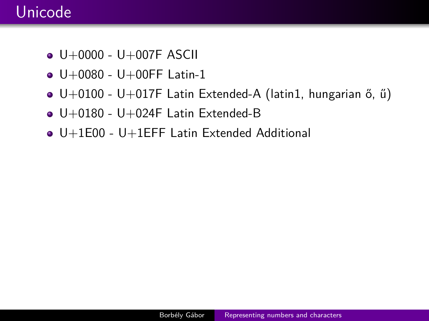## Unicode

- $\bullet$  U+0000 U+007F ASCII
- $\bullet$  U+0080 U+00FF Latin-1
- U+0100 U+017F Latin Extended-A (latin1, hungarian ő, ű)
- $\bullet$  U+0180 U+024F Latin Extended-B
- U+1E00 U+1EFF Latin Extended Additional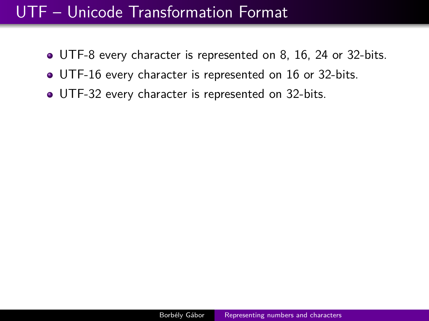## UTF – Unicode Transformation Format

- UTF-8 every character is represented on 8, 16, 24 or 32-bits.
- UTF-16 every character is represented on 16 or 32-bits.
- UTF-32 every character is represented on 32-bits.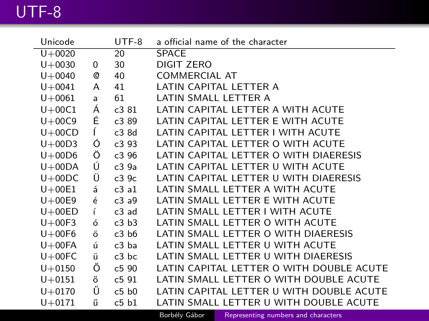## UTF-8

| Unicode    |   | UTF-8 | a official name of the character         |
|------------|---|-------|------------------------------------------|
| $U + 0020$ |   | 20    | <b>SPACE</b>                             |
| $U + 0030$ | 0 | 30    | DIGIT ZERO                               |
| $U + 0040$ | Q | 40    | COMMERCIAL AT                            |
| $U + 0041$ | A | 41    | LATIN CAPITAL LETTER A                   |
| $U + 0061$ | a | 61    | LATIN SMALL LETTER A                     |
| $U+00C1$   | Á | c3 81 | LATIN CAPITAL LETTER A WITH ACUTE        |
| $U+00C9$   | É | c3 89 | LATIN CAPITAL LETTER E WITH ACUTE        |
| $U+00CD$   | Ĺ | c3 8d | LATIN CAPITAL LETTER I WITH ACUTE        |
| $U+00D3$   | Ó | c393  | LATIN CAPITAL LETTER O WITH ACUTE        |
| $U+00D6$   | Ö | c3 96 | LATIN CAPITAL LETTER O WITH DIAERESIS    |
| $U+00DA$   | Ú | c39a  | LATIN CAPITAL LETTER U WITH ACUTE        |
| $U+00DC$   | Ü | c39c  | LATIN CAPITAL LETTER U WITH DIAERESIS    |
| $U+00E1$   | á | c3a1  | LATIN SMALL LETTER A WITH ACUTE          |
| $U+00E9$   | é | c3a9  | LATIN SMALL LETTER E WITH ACUTE          |
| $U+00ED$   | Ĺ | c3 ad | LATIN SMALL LETTER I WITH ACUTE          |
| $U+00F3$   | ó | c3 b3 | LATIN SMALL LETTER O WITH ACUTE          |
| $U+00F6$   | ö | c3 b6 | LATIN SMALL LETTER O WITH DIAERESIS      |
| $U+00FA$   | ú | c3 ba | LATIN SMALL LETTER U WITH ACUTE          |
| $U+00FC$   | ü | c3 bc | LATIN SMALL LETTER U WITH DIAERESIS      |
| $U + 0150$ | Ő | c5 90 | LATIN CAPITAL LETTER O WITH DOUBLE ACUTE |
| $U + 0151$ | ő | c591  | LATIN SMALL LETTER O WITH DOUBLE ACUTE   |
| $U + 0170$ | Ű | c5 b0 | LATIN CAPITAL LETTER U WITH DOUBLE ACUTE |
| $U + 0171$ | ű | c5 b1 | LATIN SMALL LETTER U WITH DOUBLE ACUTE   |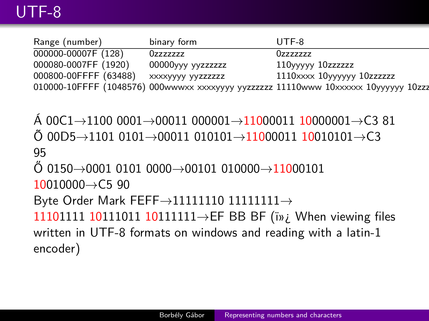| Range (number)        | binary form       | UTF-8                                                                              |  |
|-----------------------|-------------------|------------------------------------------------------------------------------------|--|
| 000000-00007F (128)   | Ozzzzzzz          | Ozzzzzzz                                                                           |  |
| 000080-0007FF (1920)  | 00000yyy yyzzzzzz | 110yyyyy 10zzzzzzz                                                                 |  |
| 000800-00FFFF (63488) | XXXXYYYY YYZZZZZZ | 1110xxxx 10yyyyyy 10zzzzzz                                                         |  |
|                       |                   | 010000-10FFFF (1048576) 000wwwxx xxxxyyyy yyzzzzzz 11110www 10xxxxx 10yyyyyy 10zzz |  |

Á 00C1→1100 0001→00011 000001→11000011 10000001→C3 81 Õ 00D5→1101 0101→00011 010101→11000011 10010101→C3 95  $\ddot{O}$  0150 $\rightarrow$ 0001 0101 0000 $\rightarrow$ 00101 010000 $\rightarrow$ 11000101  $10010000 \rightarrow C5$  90 Byte Order Mark FEFF $\rightarrow$ 11111110 111111111 $\rightarrow$ 11101111 10111011 101111111→EF BB BF (i»; When viewing files written in UTF-8 formats on windows and reading with a latin-1 encoder)